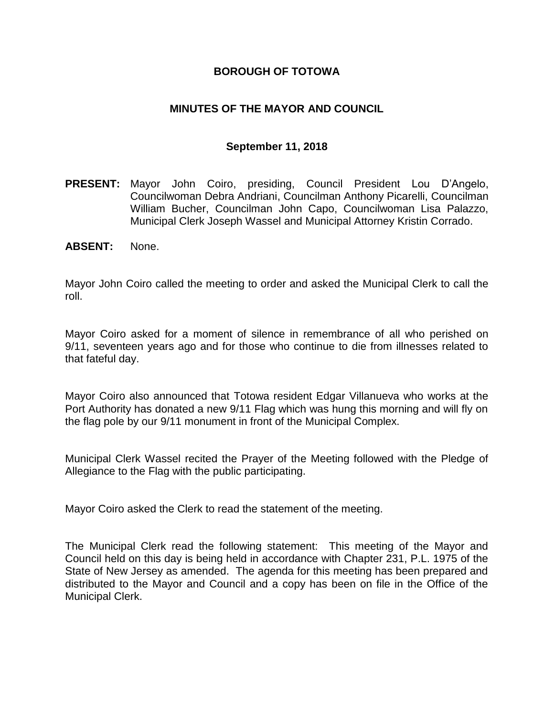## **BOROUGH OF TOTOWA**

## **MINUTES OF THE MAYOR AND COUNCIL**

### **September 11, 2018**

- **PRESENT:** Mayor John Coiro, presiding, Council President Lou D'Angelo, Councilwoman Debra Andriani, Councilman Anthony Picarelli, Councilman William Bucher, Councilman John Capo, Councilwoman Lisa Palazzo, Municipal Clerk Joseph Wassel and Municipal Attorney Kristin Corrado.
- **ABSENT:** None.

Mayor John Coiro called the meeting to order and asked the Municipal Clerk to call the roll.

Mayor Coiro asked for a moment of silence in remembrance of all who perished on 9/11, seventeen years ago and for those who continue to die from illnesses related to that fateful day.

Mayor Coiro also announced that Totowa resident Edgar Villanueva who works at the Port Authority has donated a new 9/11 Flag which was hung this morning and will fly on the flag pole by our 9/11 monument in front of the Municipal Complex.

Municipal Clerk Wassel recited the Prayer of the Meeting followed with the Pledge of Allegiance to the Flag with the public participating.

Mayor Coiro asked the Clerk to read the statement of the meeting.

The Municipal Clerk read the following statement: This meeting of the Mayor and Council held on this day is being held in accordance with Chapter 231, P.L. 1975 of the State of New Jersey as amended. The agenda for this meeting has been prepared and distributed to the Mayor and Council and a copy has been on file in the Office of the Municipal Clerk.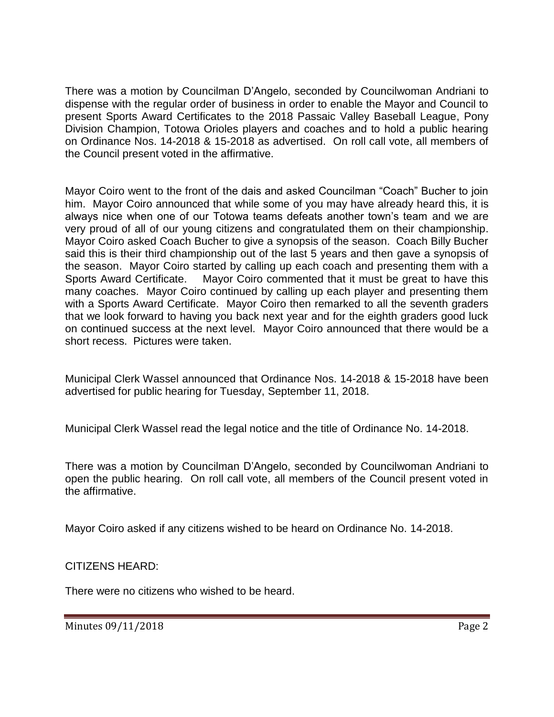There was a motion by Councilman D'Angelo, seconded by Councilwoman Andriani to dispense with the regular order of business in order to enable the Mayor and Council to present Sports Award Certificates to the 2018 Passaic Valley Baseball League, Pony Division Champion, Totowa Orioles players and coaches and to hold a public hearing on Ordinance Nos. 14-2018 & 15-2018 as advertised. On roll call vote, all members of the Council present voted in the affirmative.

Mayor Coiro went to the front of the dais and asked Councilman "Coach" Bucher to join him. Mayor Coiro announced that while some of you may have already heard this, it is always nice when one of our Totowa teams defeats another town's team and we are very proud of all of our young citizens and congratulated them on their championship. Mayor Coiro asked Coach Bucher to give a synopsis of the season. Coach Billy Bucher said this is their third championship out of the last 5 years and then gave a synopsis of the season. Mayor Coiro started by calling up each coach and presenting them with a Sports Award Certificate. Mayor Coiro commented that it must be great to have this many coaches. Mayor Coiro continued by calling up each player and presenting them with a Sports Award Certificate. Mayor Coiro then remarked to all the seventh graders that we look forward to having you back next year and for the eighth graders good luck on continued success at the next level. Mayor Coiro announced that there would be a short recess. Pictures were taken.

Municipal Clerk Wassel announced that Ordinance Nos. 14-2018 & 15-2018 have been advertised for public hearing for Tuesday, September 11, 2018.

Municipal Clerk Wassel read the legal notice and the title of Ordinance No. 14-2018.

There was a motion by Councilman D'Angelo, seconded by Councilwoman Andriani to open the public hearing. On roll call vote, all members of the Council present voted in the affirmative.

Mayor Coiro asked if any citizens wished to be heard on Ordinance No. 14-2018.

CITIZENS HEARD:

There were no citizens who wished to be heard.

Minutes 09/11/2018 **Page 2**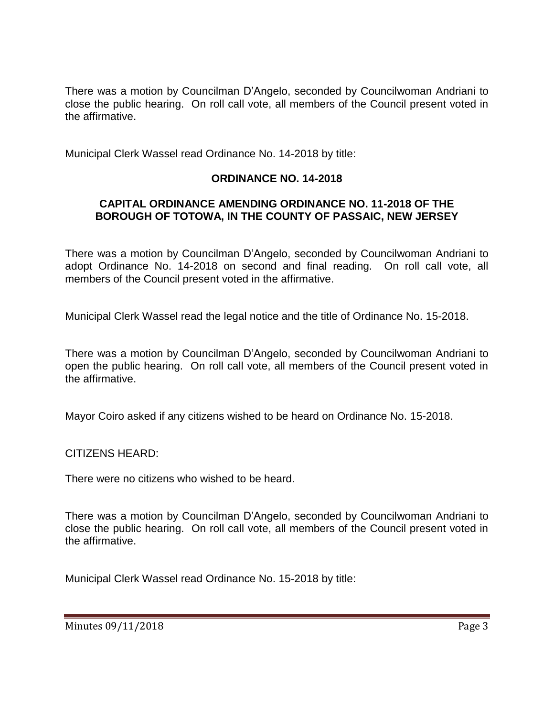There was a motion by Councilman D'Angelo, seconded by Councilwoman Andriani to close the public hearing. On roll call vote, all members of the Council present voted in the affirmative.

Municipal Clerk Wassel read Ordinance No. 14-2018 by title:

# **ORDINANCE NO. 14-2018**

## **CAPITAL ORDINANCE AMENDING ORDINANCE NO. 11-2018 OF THE BOROUGH OF TOTOWA, IN THE COUNTY OF PASSAIC, NEW JERSEY**

There was a motion by Councilman D'Angelo, seconded by Councilwoman Andriani to adopt Ordinance No. 14-2018 on second and final reading. On roll call vote, all members of the Council present voted in the affirmative.

Municipal Clerk Wassel read the legal notice and the title of Ordinance No. 15-2018.

There was a motion by Councilman D'Angelo, seconded by Councilwoman Andriani to open the public hearing. On roll call vote, all members of the Council present voted in the affirmative.

Mayor Coiro asked if any citizens wished to be heard on Ordinance No. 15-2018.

CITIZENS HEARD:

There were no citizens who wished to be heard.

There was a motion by Councilman D'Angelo, seconded by Councilwoman Andriani to close the public hearing. On roll call vote, all members of the Council present voted in the affirmative.

Municipal Clerk Wassel read Ordinance No. 15-2018 by title: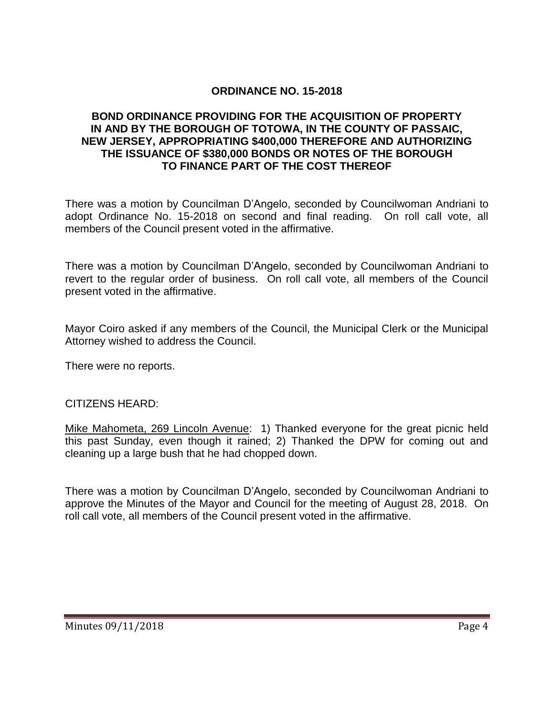# **ORDINANCE NO. 15-2018**

### **BOND ORDINANCE PROVIDING FOR THE ACQUISITION OF PROPERTY IN AND BY THE BOROUGH OF TOTOWA, IN THE COUNTY OF PASSAIC, NEW JERSEY, APPROPRIATING \$400,000 THEREFORE AND AUTHORIZING THE ISSUANCE OF \$380,000 BONDS OR NOTES OF THE BOROUGH TO FINANCE PART OF THE COST THEREOF**

There was a motion by Councilman D'Angelo, seconded by Councilwoman Andriani to adopt Ordinance No. 15-2018 on second and final reading. On roll call vote, all members of the Council present voted in the affirmative.

There was a motion by Councilman D'Angelo, seconded by Councilwoman Andriani to revert to the regular order of business. On roll call vote, all members of the Council present voted in the affirmative.

Mayor Coiro asked if any members of the Council, the Municipal Clerk or the Municipal Attorney wished to address the Council.

There were no reports.

### CITIZENS HEARD:

Mike Mahometa, 269 Lincoln Avenue: 1) Thanked everyone for the great picnic held this past Sunday, even though it rained; 2) Thanked the DPW for coming out and cleaning up a large bush that he had chopped down.

There was a motion by Councilman D'Angelo, seconded by Councilwoman Andriani to approve the Minutes of the Mayor and Council for the meeting of August 28, 2018. On roll call vote, all members of the Council present voted in the affirmative.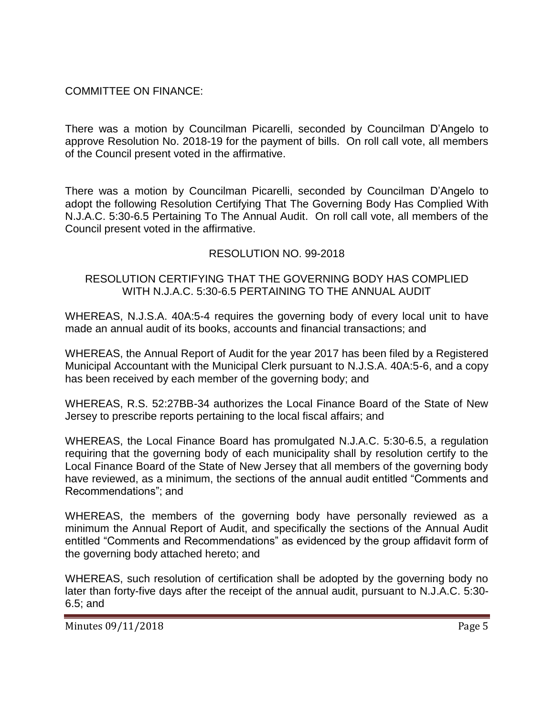# COMMITTEE ON FINANCE:

There was a motion by Councilman Picarelli, seconded by Councilman D'Angelo to approve Resolution No. 2018-19 for the payment of bills. On roll call vote, all members of the Council present voted in the affirmative.

There was a motion by Councilman Picarelli, seconded by Councilman D'Angelo to adopt the following Resolution Certifying That The Governing Body Has Complied With N.J.A.C. 5:30-6.5 Pertaining To The Annual Audit. On roll call vote, all members of the Council present voted in the affirmative.

## RESOLUTION NO. 99-2018

### RESOLUTION CERTIFYING THAT THE GOVERNING BODY HAS COMPLIED WITH N.J.A.C. 5:30-6.5 PERTAINING TO THE ANNUAL AUDIT

WHEREAS, N.J.S.A. 40A:5-4 requires the governing body of every local unit to have made an annual audit of its books, accounts and financial transactions; and

WHEREAS, the Annual Report of Audit for the year 2017 has been filed by a Registered Municipal Accountant with the Municipal Clerk pursuant to N.J.S.A. 40A:5-6, and a copy has been received by each member of the governing body; and

WHEREAS, R.S. 52:27BB-34 authorizes the Local Finance Board of the State of New Jersey to prescribe reports pertaining to the local fiscal affairs; and

WHEREAS, the Local Finance Board has promulgated N.J.A.C. 5:30-6.5, a regulation requiring that the governing body of each municipality shall by resolution certify to the Local Finance Board of the State of New Jersey that all members of the governing body have reviewed, as a minimum, the sections of the annual audit entitled "Comments and Recommendations"; and

WHEREAS, the members of the governing body have personally reviewed as a minimum the Annual Report of Audit, and specifically the sections of the Annual Audit entitled "Comments and Recommendations" as evidenced by the group affidavit form of the governing body attached hereto; and

WHEREAS, such resolution of certification shall be adopted by the governing body no later than forty-five days after the receipt of the annual audit, pursuant to N.J.A.C. 5:30- 6.5; and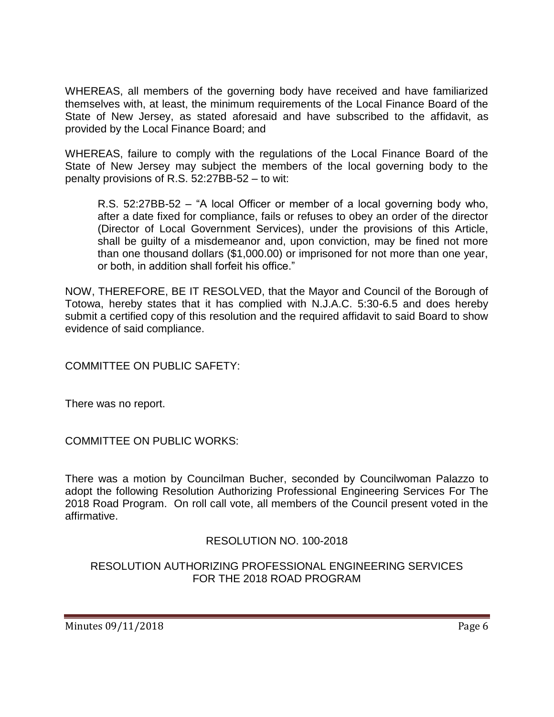WHEREAS, all members of the governing body have received and have familiarized themselves with, at least, the minimum requirements of the Local Finance Board of the State of New Jersey, as stated aforesaid and have subscribed to the affidavit, as provided by the Local Finance Board; and

WHEREAS, failure to comply with the regulations of the Local Finance Board of the State of New Jersey may subject the members of the local governing body to the penalty provisions of R.S. 52:27BB-52 – to wit:

R.S. 52:27BB-52 – "A local Officer or member of a local governing body who, after a date fixed for compliance, fails or refuses to obey an order of the director (Director of Local Government Services), under the provisions of this Article, shall be guilty of a misdemeanor and, upon conviction, may be fined not more than one thousand dollars (\$1,000.00) or imprisoned for not more than one year, or both, in addition shall forfeit his office."

NOW, THEREFORE, BE IT RESOLVED, that the Mayor and Council of the Borough of Totowa, hereby states that it has complied with N.J.A.C. 5:30-6.5 and does hereby submit a certified copy of this resolution and the required affidavit to said Board to show evidence of said compliance.

COMMITTEE ON PUBLIC SAFETY:

There was no report.

COMMITTEE ON PUBLIC WORKS:

There was a motion by Councilman Bucher, seconded by Councilwoman Palazzo to adopt the following Resolution Authorizing Professional Engineering Services For The 2018 Road Program. On roll call vote, all members of the Council present voted in the affirmative.

RESOLUTION NO. 100-2018

RESOLUTION AUTHORIZING PROFESSIONAL ENGINEERING SERVICES FOR THE 2018 ROAD PROGRAM

Minutes 09/11/2018 **Page 6**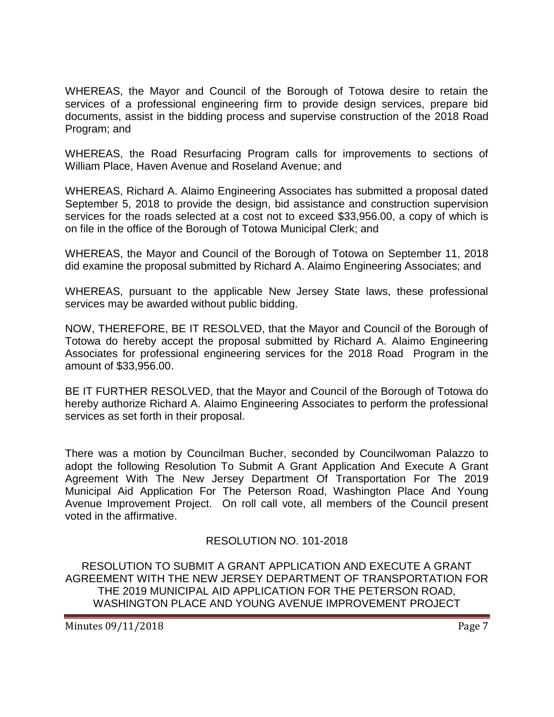WHEREAS, the Mayor and Council of the Borough of Totowa desire to retain the services of a professional engineering firm to provide design services, prepare bid documents, assist in the bidding process and supervise construction of the 2018 Road Program; and

WHEREAS, the Road Resurfacing Program calls for improvements to sections of William Place, Haven Avenue and Roseland Avenue; and

WHEREAS, Richard A. Alaimo Engineering Associates has submitted a proposal dated September 5, 2018 to provide the design, bid assistance and construction supervision services for the roads selected at a cost not to exceed \$33,956.00, a copy of which is on file in the office of the Borough of Totowa Municipal Clerk; and

WHEREAS, the Mayor and Council of the Borough of Totowa on September 11, 2018 did examine the proposal submitted by Richard A. Alaimo Engineering Associates; and

WHEREAS, pursuant to the applicable New Jersey State laws, these professional services may be awarded without public bidding.

NOW, THEREFORE, BE IT RESOLVED, that the Mayor and Council of the Borough of Totowa do hereby accept the proposal submitted by Richard A. Alaimo Engineering Associates for professional engineering services for the 2018 Road Program in the amount of \$33,956.00.

BE IT FURTHER RESOLVED, that the Mayor and Council of the Borough of Totowa do hereby authorize Richard A. Alaimo Engineering Associates to perform the professional services as set forth in their proposal.

There was a motion by Councilman Bucher, seconded by Councilwoman Palazzo to adopt the following Resolution To Submit A Grant Application And Execute A Grant Agreement With The New Jersey Department Of Transportation For The 2019 Municipal Aid Application For The Peterson Road, Washington Place And Young Avenue Improvement Project. On roll call vote, all members of the Council present voted in the affirmative.

RESOLUTION NO. 101-2018

RESOLUTION TO SUBMIT A GRANT APPLICATION AND EXECUTE A GRANT AGREEMENT WITH THE NEW JERSEY DEPARTMENT OF TRANSPORTATION FOR THE 2019 MUNICIPAL AID APPLICATION FOR THE PETERSON ROAD, WASHINGTON PLACE AND YOUNG AVENUE IMPROVEMENT PROJECT

Minutes 09/11/2018 **Page 7**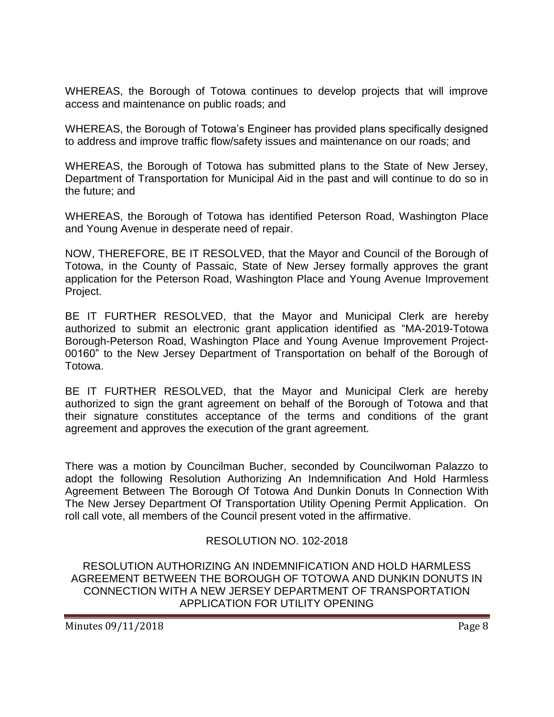WHEREAS, the Borough of Totowa continues to develop projects that will improve access and maintenance on public roads; and

WHEREAS, the Borough of Totowa's Engineer has provided plans specifically designed to address and improve traffic flow/safety issues and maintenance on our roads; and

WHEREAS, the Borough of Totowa has submitted plans to the State of New Jersey, Department of Transportation for Municipal Aid in the past and will continue to do so in the future; and

WHEREAS, the Borough of Totowa has identified Peterson Road, Washington Place and Young Avenue in desperate need of repair.

NOW, THEREFORE, BE IT RESOLVED, that the Mayor and Council of the Borough of Totowa, in the County of Passaic, State of New Jersey formally approves the grant application for the Peterson Road, Washington Place and Young Avenue Improvement Project.

BE IT FURTHER RESOLVED, that the Mayor and Municipal Clerk are hereby authorized to submit an electronic grant application identified as "MA-2019-Totowa Borough-Peterson Road, Washington Place and Young Avenue Improvement Project-00160" to the New Jersey Department of Transportation on behalf of the Borough of Totowa.

BE IT FURTHER RESOLVED, that the Mayor and Municipal Clerk are hereby authorized to sign the grant agreement on behalf of the Borough of Totowa and that their signature constitutes acceptance of the terms and conditions of the grant agreement and approves the execution of the grant agreement.

There was a motion by Councilman Bucher, seconded by Councilwoman Palazzo to adopt the following Resolution Authorizing An Indemnification And Hold Harmless Agreement Between The Borough Of Totowa And Dunkin Donuts In Connection With The New Jersey Department Of Transportation Utility Opening Permit Application. On roll call vote, all members of the Council present voted in the affirmative.

# RESOLUTION NO. 102-2018

RESOLUTION AUTHORIZING AN INDEMNIFICATION AND HOLD HARMLESS AGREEMENT BETWEEN THE BOROUGH OF TOTOWA AND DUNKIN DONUTS IN CONNECTION WITH A NEW JERSEY DEPARTMENT OF TRANSPORTATION APPLICATION FOR UTILITY OPENING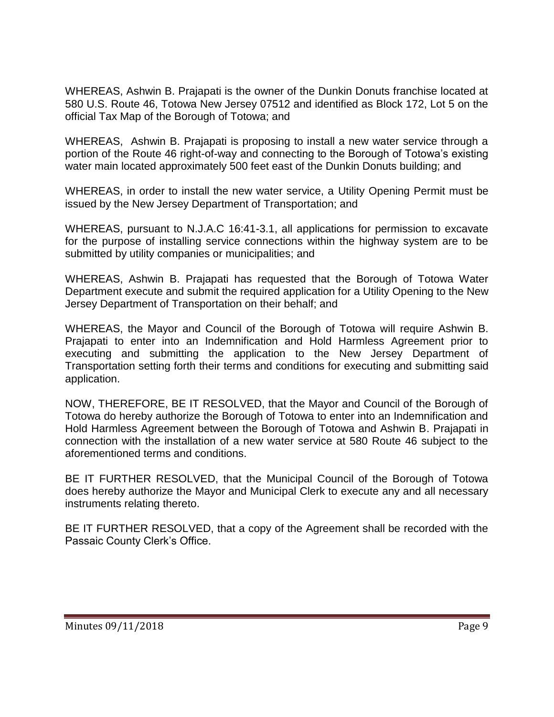WHEREAS, Ashwin B. Prajapati is the owner of the Dunkin Donuts franchise located at 580 U.S. Route 46, Totowa New Jersey 07512 and identified as Block 172, Lot 5 on the official Tax Map of the Borough of Totowa; and

WHEREAS, Ashwin B. Prajapati is proposing to install a new water service through a portion of the Route 46 right-of-way and connecting to the Borough of Totowa's existing water main located approximately 500 feet east of the Dunkin Donuts building; and

WHEREAS, in order to install the new water service, a Utility Opening Permit must be issued by the New Jersey Department of Transportation; and

WHEREAS, pursuant to N.J.A.C 16:41-3.1, all applications for permission to excavate for the purpose of installing service connections within the highway system are to be submitted by utility companies or municipalities; and

WHEREAS, Ashwin B. Prajapati has requested that the Borough of Totowa Water Department execute and submit the required application for a Utility Opening to the New Jersey Department of Transportation on their behalf; and

WHEREAS, the Mayor and Council of the Borough of Totowa will require Ashwin B. Prajapati to enter into an Indemnification and Hold Harmless Agreement prior to executing and submitting the application to the New Jersey Department of Transportation setting forth their terms and conditions for executing and submitting said application.

NOW, THEREFORE, BE IT RESOLVED, that the Mayor and Council of the Borough of Totowa do hereby authorize the Borough of Totowa to enter into an Indemnification and Hold Harmless Agreement between the Borough of Totowa and Ashwin B. Prajapati in connection with the installation of a new water service at 580 Route 46 subject to the aforementioned terms and conditions.

BE IT FURTHER RESOLVED, that the Municipal Council of the Borough of Totowa does hereby authorize the Mayor and Municipal Clerk to execute any and all necessary instruments relating thereto.

BE IT FURTHER RESOLVED, that a copy of the Agreement shall be recorded with the Passaic County Clerk's Office.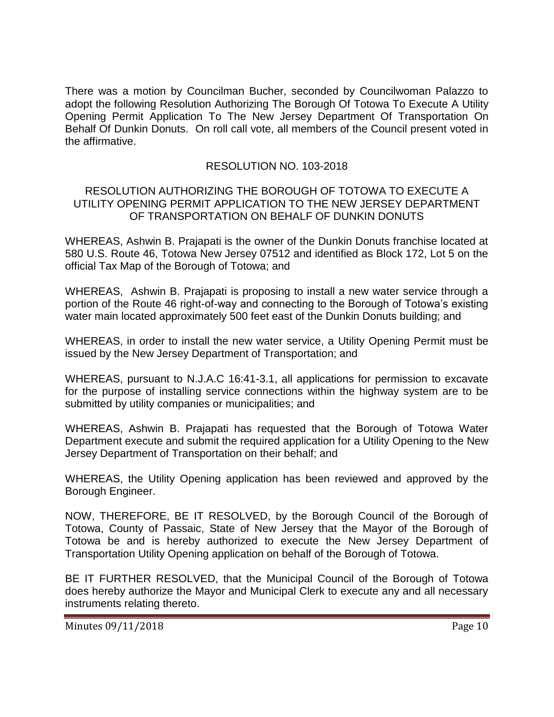There was a motion by Councilman Bucher, seconded by Councilwoman Palazzo to adopt the following Resolution Authorizing The Borough Of Totowa To Execute A Utility Opening Permit Application To The New Jersey Department Of Transportation On Behalf Of Dunkin Donuts. On roll call vote, all members of the Council present voted in the affirmative.

# RESOLUTION NO. 103-2018

### RESOLUTION AUTHORIZING THE BOROUGH OF TOTOWA TO EXECUTE A UTILITY OPENING PERMIT APPLICATION TO THE NEW JERSEY DEPARTMENT OF TRANSPORTATION ON BEHALF OF DUNKIN DONUTS

WHEREAS, Ashwin B. Prajapati is the owner of the Dunkin Donuts franchise located at 580 U.S. Route 46, Totowa New Jersey 07512 and identified as Block 172, Lot 5 on the official Tax Map of the Borough of Totowa; and

WHEREAS, Ashwin B. Prajapati is proposing to install a new water service through a portion of the Route 46 right-of-way and connecting to the Borough of Totowa's existing water main located approximately 500 feet east of the Dunkin Donuts building; and

WHEREAS, in order to install the new water service, a Utility Opening Permit must be issued by the New Jersey Department of Transportation; and

WHEREAS, pursuant to N.J.A.C 16:41-3.1, all applications for permission to excavate for the purpose of installing service connections within the highway system are to be submitted by utility companies or municipalities; and

WHEREAS, Ashwin B. Prajapati has requested that the Borough of Totowa Water Department execute and submit the required application for a Utility Opening to the New Jersey Department of Transportation on their behalf; and

WHEREAS, the Utility Opening application has been reviewed and approved by the Borough Engineer.

NOW, THEREFORE, BE IT RESOLVED, by the Borough Council of the Borough of Totowa, County of Passaic, State of New Jersey that the Mayor of the Borough of Totowa be and is hereby authorized to execute the New Jersey Department of Transportation Utility Opening application on behalf of the Borough of Totowa.

BE IT FURTHER RESOLVED, that the Municipal Council of the Borough of Totowa does hereby authorize the Mayor and Municipal Clerk to execute any and all necessary instruments relating thereto.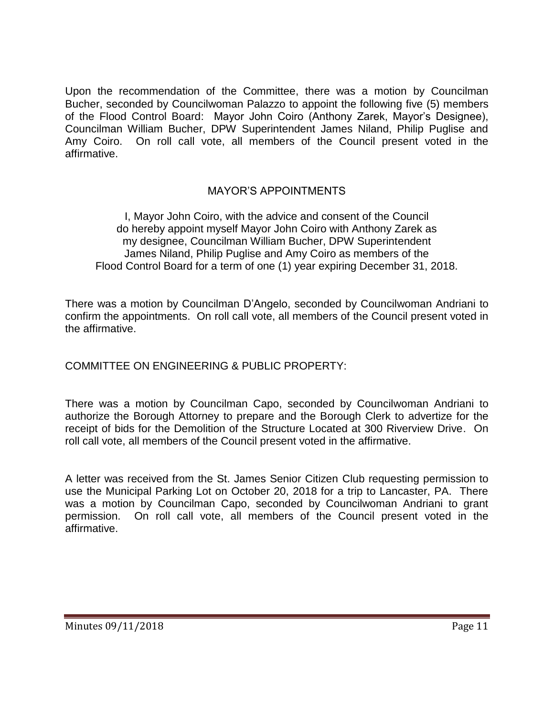Upon the recommendation of the Committee, there was a motion by Councilman Bucher, seconded by Councilwoman Palazzo to appoint the following five (5) members of the Flood Control Board: Mayor John Coiro (Anthony Zarek, Mayor's Designee), Councilman William Bucher, DPW Superintendent James Niland, Philip Puglise and Amy Coiro. On roll call vote, all members of the Council present voted in the affirmative.

# MAYOR'S APPOINTMENTS

I, Mayor John Coiro, with the advice and consent of the Council do hereby appoint myself Mayor John Coiro with Anthony Zarek as my designee, Councilman William Bucher, DPW Superintendent James Niland, Philip Puglise and Amy Coiro as members of the Flood Control Board for a term of one (1) year expiring December 31, 2018.

There was a motion by Councilman D'Angelo, seconded by Councilwoman Andriani to confirm the appointments. On roll call vote, all members of the Council present voted in the affirmative.

COMMITTEE ON ENGINEERING & PUBLIC PROPERTY:

There was a motion by Councilman Capo, seconded by Councilwoman Andriani to authorize the Borough Attorney to prepare and the Borough Clerk to advertize for the receipt of bids for the Demolition of the Structure Located at 300 Riverview Drive. On roll call vote, all members of the Council present voted in the affirmative.

A letter was received from the St. James Senior Citizen Club requesting permission to use the Municipal Parking Lot on October 20, 2018 for a trip to Lancaster, PA. There was a motion by Councilman Capo, seconded by Councilwoman Andriani to grant permission. On roll call vote, all members of the Council present voted in the affirmative.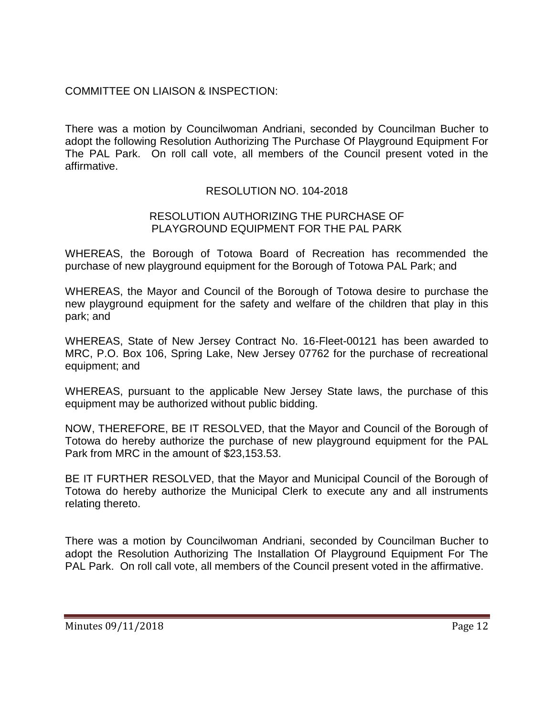# COMMITTEE ON LIAISON & INSPECTION:

There was a motion by Councilwoman Andriani, seconded by Councilman Bucher to adopt the following Resolution Authorizing The Purchase Of Playground Equipment For The PAL Park. On roll call vote, all members of the Council present voted in the affirmative.

# RESOLUTION NO. 104-2018

### RESOLUTION AUTHORIZING THE PURCHASE OF PLAYGROUND EQUIPMENT FOR THE PAL PARK

WHEREAS, the Borough of Totowa Board of Recreation has recommended the purchase of new playground equipment for the Borough of Totowa PAL Park; and

WHEREAS, the Mayor and Council of the Borough of Totowa desire to purchase the new playground equipment for the safety and welfare of the children that play in this park; and

WHEREAS, State of New Jersey Contract No. 16-Fleet-00121 has been awarded to MRC, P.O. Box 106, Spring Lake, New Jersey 07762 for the purchase of recreational equipment; and

WHEREAS, pursuant to the applicable New Jersey State laws, the purchase of this equipment may be authorized without public bidding.

NOW, THEREFORE, BE IT RESOLVED, that the Mayor and Council of the Borough of Totowa do hereby authorize the purchase of new playground equipment for the PAL Park from MRC in the amount of \$23,153.53.

BE IT FURTHER RESOLVED, that the Mayor and Municipal Council of the Borough of Totowa do hereby authorize the Municipal Clerk to execute any and all instruments relating thereto.

There was a motion by Councilwoman Andriani, seconded by Councilman Bucher to adopt the Resolution Authorizing The Installation Of Playground Equipment For The PAL Park. On roll call vote, all members of the Council present voted in the affirmative.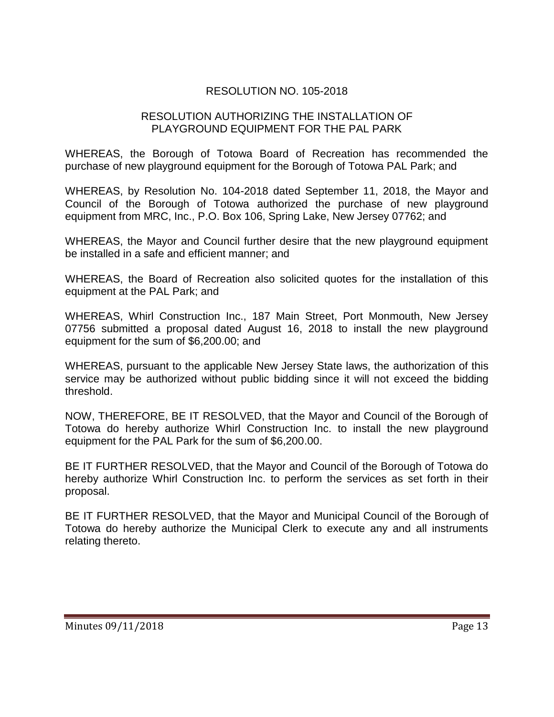# RESOLUTION NO. 105-2018

### RESOLUTION AUTHORIZING THE INSTALLATION OF PLAYGROUND EQUIPMENT FOR THE PAL PARK

WHEREAS, the Borough of Totowa Board of Recreation has recommended the purchase of new playground equipment for the Borough of Totowa PAL Park; and

WHEREAS, by Resolution No. 104-2018 dated September 11, 2018, the Mayor and Council of the Borough of Totowa authorized the purchase of new playground equipment from MRC, Inc., P.O. Box 106, Spring Lake, New Jersey 07762; and

WHEREAS, the Mayor and Council further desire that the new playground equipment be installed in a safe and efficient manner; and

WHEREAS, the Board of Recreation also solicited quotes for the installation of this equipment at the PAL Park; and

WHEREAS, Whirl Construction Inc., 187 Main Street, Port Monmouth, New Jersey 07756 submitted a proposal dated August 16, 2018 to install the new playground equipment for the sum of \$6,200.00; and

WHEREAS, pursuant to the applicable New Jersey State laws, the authorization of this service may be authorized without public bidding since it will not exceed the bidding threshold.

NOW, THEREFORE, BE IT RESOLVED, that the Mayor and Council of the Borough of Totowa do hereby authorize Whirl Construction Inc. to install the new playground equipment for the PAL Park for the sum of \$6,200.00.

BE IT FURTHER RESOLVED, that the Mayor and Council of the Borough of Totowa do hereby authorize Whirl Construction Inc. to perform the services as set forth in their proposal.

BE IT FURTHER RESOLVED, that the Mayor and Municipal Council of the Borough of Totowa do hereby authorize the Municipal Clerk to execute any and all instruments relating thereto.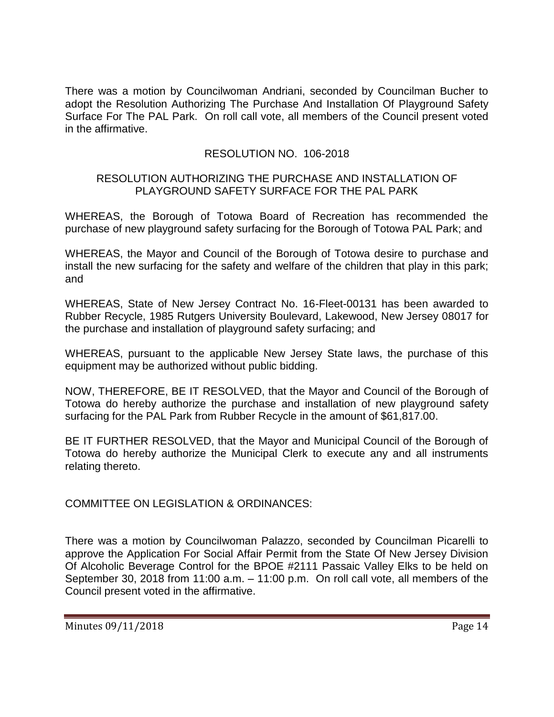There was a motion by Councilwoman Andriani, seconded by Councilman Bucher to adopt the Resolution Authorizing The Purchase And Installation Of Playground Safety Surface For The PAL Park. On roll call vote, all members of the Council present voted in the affirmative.

# RESOLUTION NO. 106-2018

### RESOLUTION AUTHORIZING THE PURCHASE AND INSTALLATION OF PLAYGROUND SAFETY SURFACE FOR THE PAL PARK

WHEREAS, the Borough of Totowa Board of Recreation has recommended the purchase of new playground safety surfacing for the Borough of Totowa PAL Park; and

WHEREAS, the Mayor and Council of the Borough of Totowa desire to purchase and install the new surfacing for the safety and welfare of the children that play in this park; and

WHEREAS, State of New Jersey Contract No. 16-Fleet-00131 has been awarded to Rubber Recycle, 1985 Rutgers University Boulevard, Lakewood, New Jersey 08017 for the purchase and installation of playground safety surfacing; and

WHEREAS, pursuant to the applicable New Jersey State laws, the purchase of this equipment may be authorized without public bidding.

NOW, THEREFORE, BE IT RESOLVED, that the Mayor and Council of the Borough of Totowa do hereby authorize the purchase and installation of new playground safety surfacing for the PAL Park from Rubber Recycle in the amount of \$61,817.00.

BE IT FURTHER RESOLVED, that the Mayor and Municipal Council of the Borough of Totowa do hereby authorize the Municipal Clerk to execute any and all instruments relating thereto.

COMMITTEE ON LEGISLATION & ORDINANCES:

There was a motion by Councilwoman Palazzo, seconded by Councilman Picarelli to approve the Application For Social Affair Permit from the State Of New Jersey Division Of Alcoholic Beverage Control for the BPOE #2111 Passaic Valley Elks to be held on September 30, 2018 from 11:00 a.m. – 11:00 p.m. On roll call vote, all members of the Council present voted in the affirmative.